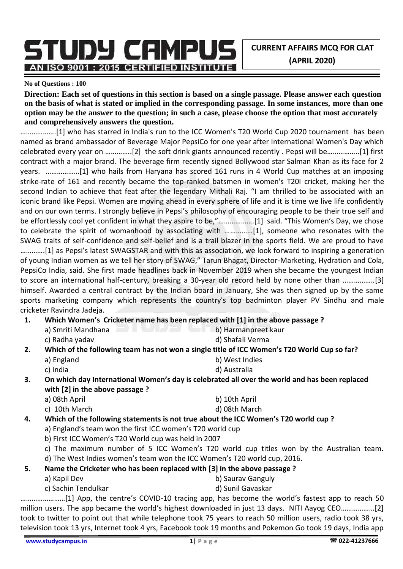**CURRENT AFFAIRS MCQ FOR CLAT (APRIL 2020)**

STUDY CAMPUS AN ISO 9001 : 2015 CERTIFIED INSTITUTE

#### **No of Questions : 100**

**Direction: Each set of questions in this section is based on a single passage. Please answer each question on the basis of what is stated or implied in the corresponding passage. In some instances, more than one option may be the answer to the question; in such a case, please choose the option that most accurately and comprehensively answers the question.**

……………….[1] who has starred in India's run to the ICC Women's T20 World Cup 2020 tournament has been named as brand ambassador of Beverage Major PepsiCo for one year after International Women's Day which celebrated every year on …………..[2] the soft drink giants announced recently . Pepsi will be……………..[1] first contract with a major brand. The beverage firm recently signed Bollywood star Salman Khan as its face for 2 years. ………………[1] who hails from Haryana has scored 161 runs in 4 World Cup matches at an imposing strike-rate of 161 and recently became the top-ranked batsmen in women's T20I cricket, making her the second Indian to achieve that feat after the legendary Mithali Raj. "I am thrilled to be associated with an iconic brand like Pepsi. Women are moving ahead in every sphere of life and it is time we live life confidently and on our own terms. I strongly believe in Pepsi's philosophy of encouraging people to be their true self and be effortlessly cool yet confident in what they aspire to be,"……………….[1] said. "This Women's Day, we chose to celebrate the spirit of womanhood by associating with ……………[1], someone who resonates with the SWAG traits of self-confidence and self-belief and is a trail blazer in the sports field. We are proud to have ………….[1] as Pepsi's latest SWAGSTAR and with this as association, we look forward to inspiring a generation of young Indian women as we tell her story of SWAG," Tarun Bhagat, Director-Marketing, Hydration and Cola, PepsiCo India, said. She first made headlines back in November 2019 when she became the youngest Indian to score an international half-century, breaking a 30-year old record held by none other than ……………..[3] himself. Awarded a central contract by the Indian board in January, She was then signed up by the same sports marketing company which represents the country's top badminton player PV Sindhu and male cricketer Ravindra Jadeja.

- **1. Which Women's Cricketer name has been replaced with [1] in the above passage ?** 
	- a) Smriti Mandhana b) Harmanpreet kaur
	- c) Radha yadav di Shafali Verma
- **2. Which of the following team has not won a single title of ICC Women's T20 World Cup so far?** 
	- a) England b) West Indies
	- c) India d) Australia
- **3. On which day International Women's day is celebrated all over the world and has been replaced with [2] in the above passage ?** 
	- a) 08th April b) 10th April
		- c) 10th March d) 08th March
- **4. Which of the following statements is not true about the ICC Women's T20 world cup ?** 
	- a) England's team won the first ICC women's T20 world cup
	- b) First ICC Women's T20 World cup was held in 2007
	- c) The maximum number of 5 ICC Women's T20 world cup titles won by the Australian team. d) The West Indies women's team won the ICC Women's T20 world cup, 2016.
- **5. Name the Cricketer who has been replaced with [3] in the above passage ?** 
	- a) Kapil Dev b) Saurav Ganguly
	- c) Sachin Tendulkar d) Sunil Gavaskar
- 

……………………[1] App, the centre's COVID-10 tracing app, has become the world's fastest app to reach 50 million users. The app became the world's highest downloaded in just 13 days. NITI Aayog CEO………………[2] took to twitter to point out that while telephone took 75 years to reach 50 million users, radio took 38 yrs, television took 13 yrs, Internet took 4 yrs, Facebook took 19 months and Pokemon Go took 19 days, India app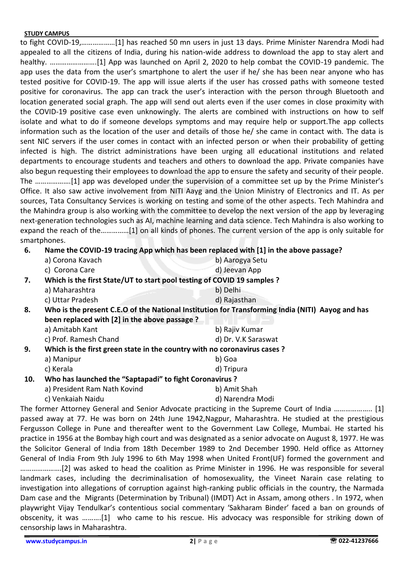to fight COVID-19,………………[1] has reached 50 mn users in just 13 days. Prime Minister Narendra Modi had appealed to all the citizens of India, during his nation-wide address to download the app to stay alert and healthy. …………………….[1] App was launched on April 2, 2020 to help combat the COVID-19 pandemic. The app uses the data from the user's smartphone to alert the user if he/ she has been near anyone who has tested positive for COVID-19. The app will issue alerts if the user has crossed paths with someone tested positive for coronavirus. The app can track the user's interaction with the person through Bluetooth and location generated social graph. The app will send out alerts even if the user comes in close proximity with the COVID-19 positive case even unknowingly. The alerts are combined with instructions on how to self isolate and what to do if someone develops symptoms and may require help or support.The app collects information such as the location of the user and details of those he/ she came in contact with. The data is sent NIC servers if the user comes in contact with an infected person or when their probability of getting infected is high. The district administrations have been urging all educational institutions and related departments to encourage students and teachers and others to download the app. Private companies have also begun requesting their employees to download the app to ensure the safety and security of their people. The ……………….[1] app was developed under the supervision of a committee set up by the Prime Minister's Office. It also saw active involvement from NITI Aayg and the Union Ministry of Electronics and IT. As per sources, Tata Consultancy Services is working on testing and some of the other aspects. Tech Mahindra and the Mahindra group is also working with the committee to develop the next version of the app by leveraging next-generation technologies such as AI, machine learning and data science. Tech Mahindra is also working to expand the reach of the……………[1] on all kinds of phones. The current version of the app is only suitable for smartphones.

## **6. Name the COVID-19 tracing App which has been replaced with [1] in the above passage?**

|     | a) Corona Kavach                                                          | b) Aarogya Setu                                                                                  |
|-----|---------------------------------------------------------------------------|--------------------------------------------------------------------------------------------------|
|     | c) Corona Care                                                            | d) Jeevan App                                                                                    |
| 7.  | Which is the first State/UT to start pool testing of COVID 19 samples ?   |                                                                                                  |
|     | a) Maharashtra                                                            | b) Delhi                                                                                         |
|     | c) Uttar Pradesh                                                          | d) Rajasthan                                                                                     |
| 8.  |                                                                           | Who is the present C.E.O of the National Institution for Transforming India (NITI) Aayog and has |
|     | been replaced with [2] in the above passage ?                             |                                                                                                  |
|     | a) Amitabh Kant                                                           | b) Rajiv Kumar                                                                                   |
|     | c) Prof. Ramesh Chand                                                     | d) Dr. V.K Saraswat                                                                              |
| 9.  | Which is the first green state in the country with no coronavirus cases ? |                                                                                                  |
|     | a) Manipur                                                                | b) Goa                                                                                           |
|     | c) Kerala                                                                 | d) Tripura                                                                                       |
| 10. | Who has launched the "Saptapadi" to fight Coronavirus ?                   |                                                                                                  |
|     | a) President Ram Nath Kovind                                              | b) Amit Shah                                                                                     |
|     |                                                                           |                                                                                                  |

c) Venkaiah Naidu d) Narendra Modi The former Attorney General and Senior Advocate practicing in the Supreme Court of India ……………….. [1] passed away at 77. He was born on 24th June 1942,Nagpur, Maharashtra. He studied at the prestigious Fergusson College in Pune and thereafter went to the Government Law College, Mumbai. He started his practice in 1956 at the Bombay high court and was designated as a senior advocate on August 8, 1977. He was the Solicitor General of India from 18th December 1989 to 2nd December 1990. Held office as Attorney General of India From 9th July 1996 to 6th May 1998 when United Front(UF) formed the government and ………………….[2] was asked to head the coalition as Prime Minister in 1996. He was responsible for several landmark cases, including the decriminalisation of homosexuality, the Vineet Narain case relating to investigation into allegations of corruption against high-ranking public officials in the country, the Narmada Dam case and the Migrants (Determination by Tribunal) (IMDT) Act in Assam, among others . In 1972, when playwright Vijay Tendulkar's contentious social commentary 'Sakharam Binder' faced a ban on grounds of obscenity, it was ……….[1] who came to his rescue. His advocacy was responsible for striking down of censorship laws in Maharashtra.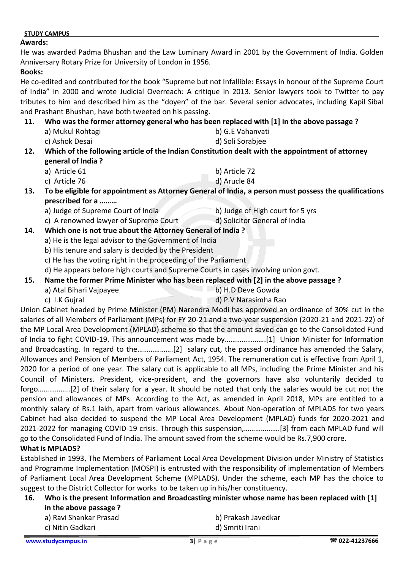#### **Awards:**

He was awarded Padma Bhushan and the Law Luminary Award in 2001 by the Government of India. Golden Anniversary Rotary Prize for University of London in 1956.

#### **Books:**

He co-edited and contributed for the book "Supreme but not Infallible: Essays in honour of the Supreme Court of India" in 2000 and wrote Judicial Overreach: A critique in 2013. Senior lawyers took to Twitter to pay tributes to him and described him as the "doyen" of the bar. Several senior advocates, including Kapil Sibal and Prashant Bhushan, have both tweeted on his passing.

## **11. Who was the former attorney general who has been replaced with [1] in the above passage ?**

- a) Mukul Rohtagi b) G.E Vahanvati c) Ashok Desai d) Soli Sorabjee
- **12. Which of the following article of the Indian Constitution dealt with the appointment of attorney general of India ?** 
	- a) Article 61 b) Article 72
	- c) Article 76 d) Arucle 84
- **13. To be eligible for appointment as Attorney General of India, a person must possess the qualifications prescribed for a ………** 
	- a) Judge of Supreme Court of India b) Judge of High court for 5 yrs
		-
	- c) A renowned lawyer of Supreme Court d) Solicitor General of India

# **14. Which one is not true about the Attorney General of India ?**

- a) He is the legal advisor to the Government of India
- b) His tenure and salary is decided by the President
- c) He has the voting right in the proceeding of the Parliament
- d) He appears before high courts and Supreme Courts in cases involving union govt.
- **15. Name the former Prime Minister who has been replaced with [2] in the above passage ?**
	- a) Atal Bihari Vajpayee b) H.D Deve Gowda
	- c) I.K Gujral d) P.V Narasimha Rao

Union Cabinet headed by Prime Minister (PM) Narendra Modi has approved an ordinance of 30% cut in the salaries of all Members of Parliament (MPs) for FY 20-21 and a two-year suspension (2020-21 and 2021-22) of the MP Local Area Development (MPLAD) scheme so that the amount saved can go to the Consolidated Fund of India to fight COVID-19. This announcement was made by………………….[1] Union Minister for Information and Broadcasting. In regard to the……………….[2] salary cut, the passed ordinance has amended the Salary, Allowances and Pension of Members of Parliament Act, 1954. The remuneration cut is effective from April 1, 2020 for a period of one year. The salary cut is applicable to all MPs, including the Prime Minister and his Council of Ministers. President, vice-president, and the governors have also voluntarily decided to forgo……………..[2] of their salary for a year. It should be noted that only the salaries would be cut not the pension and allowances of MPs. According to the Act, as amended in April 2018, MPs are entitled to a monthly salary of Rs.1 lakh, apart from various allowances. About Non-operation of MPLADS for two years Cabinet had also decided to suspend the MP Local Area Development (MPLAD) funds for 2020-2021 and 2021-2022 for managing COVID-19 crisis. Through this suspension,……………….[3] from each MPLAD fund will go to the Consolidated Fund of India. The amount saved from the scheme would be Rs.7,900 crore. **What is MPLADS?**

# Established in 1993, The Members of Parliament Local Area Development Division under Ministry of Statistics and Programme Implementation (MOSPI) is entrusted with the responsibility of implementation of Members of Parliament Local Area Development Scheme (MPLADS). Under the scheme, each MP has the choice to suggest to the District Collector for works to be taken up in his/her constituency.

#### **16. Who is the present Information and Broadcasting minister whose name has been replaced with [1] in the above passage ?**

- a) Ravi Shankar Prasad b) Prakash Javedkar
	- c) Nitin Gadkari d) Smriti Irani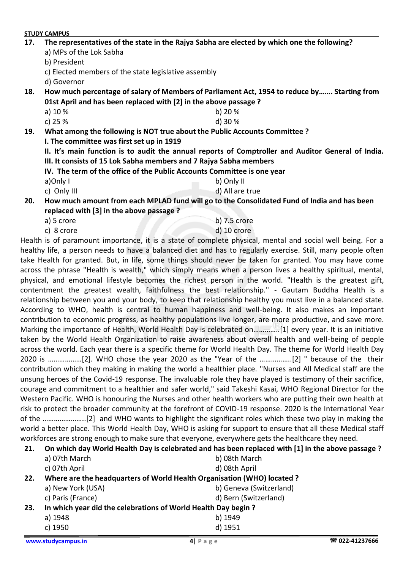|     | <b>STUDY CAMPUS</b>                                  |                                                                                                               |  |
|-----|------------------------------------------------------|---------------------------------------------------------------------------------------------------------------|--|
| 17. |                                                      | The representatives of the state in the Rajya Sabha are elected by which one the following?                   |  |
|     | a) MPs of the Lok Sabha                              |                                                                                                               |  |
|     | b) President                                         |                                                                                                               |  |
|     | c) Elected members of the state legislative assembly |                                                                                                               |  |
|     | d) Governor                                          |                                                                                                               |  |
| 18. |                                                      | How much percentage of salary of Members of Parliament Act, 1954 to reduce by Starting from                   |  |
|     |                                                      | 01st April and has been replaced with [2] in the above passage ?                                              |  |
|     | a) 10 %                                              | b) $20%$                                                                                                      |  |
|     | c) 25 %                                              | d) 30 %                                                                                                       |  |
| 19. |                                                      | What among the following is NOT true about the Public Accounts Committee ?                                    |  |
|     | I. The committee was first set up in 1919            |                                                                                                               |  |
|     |                                                      | II. It's main function is to audit the annual reports of Comptroller and Auditor General of India.            |  |
|     |                                                      | III. It consists of 15 Lok Sabha members and 7 Rajya Sabha members                                            |  |
|     |                                                      | IV. The term of the office of the Public Accounts Committee is one year                                       |  |
|     | a)Only I                                             | b) Only II                                                                                                    |  |
|     | c) Only III                                          | d) All are true                                                                                               |  |
| 20. |                                                      | How much amount from each MPLAD fund will go to the Consolidated Fund of India and has been                   |  |
|     | replaced with [3] in the above passage?              |                                                                                                               |  |
|     | a) 5 crore                                           | b) 7.5 crore                                                                                                  |  |
|     | c) 8 crore                                           | d) 10 crore                                                                                                   |  |
|     |                                                      | Health is of paramount importance, it is a state of complete physical, mental and social well being. For a    |  |
|     |                                                      | healthy life, a person needs to have a balanced diet and has to regularly exercise. Still, many people often  |  |
|     |                                                      | take Health for granted. But, in life, some things should never be taken for granted. You may have come       |  |
|     |                                                      | across the phrase "Health is wealth," which simply means when a person lives a healthy spiritual, mental,     |  |
|     |                                                      | physical, and emotional lifestyle becomes the richest person in the world. "Health is the greatest gift,      |  |
|     |                                                      | contentment the greatest wealth, faithfulness the best relationship." - Gautam Buddha Health is a             |  |
|     |                                                      | relationship between you and your body, to keep that relationship healthy you must live in a balanced state.  |  |
|     |                                                      | According to WHO, health is central to human happiness and well-being. It also makes an important             |  |
|     |                                                      | contribution to economic progress, as healthy populations live longer, are more productive, and save more.    |  |
|     |                                                      | Marking the importance of Health, World Health Day is celebrated on[1] every year. It is an initiative        |  |
|     |                                                      | taken by the World Health Organization to raise awareness about overall health and well-being of people       |  |
|     |                                                      | across the world. Each year there is a specific theme for World Health Day. The theme for World Health Day    |  |
|     |                                                      | 2020 is [2]. WHO chose the year 2020 as the "Year of the [2] " because of the their                           |  |
|     |                                                      | contribution which they making in making the world a healthier place. "Nurses and All Medical staff are the   |  |
|     |                                                      | unsung heroes of the Covid-19 response. The invaluable role they have played is testimony of their sacrifice, |  |
|     |                                                      | courage and commitment to a healthier and safer world," said Takeshi Kasai, WHO Regional Director for the     |  |
|     |                                                      | Western Pacific. WHO is honouring the Nurses and other health workers who are putting their own health at     |  |
|     |                                                      | rick to protect the broader community at the ferefront of COVID 10 response 2020 is the International Vear    |  |

risk to protect the broader community at the forefront of COVID-19 response. 2020 is the International Year of the …………………..[2] and WHO wants to highlight the significant roles which these two play in making the world a better place. This World Health Day, WHO is asking for support to ensure that all these Medical staff workforces are strong enough to make sure that everyone, everywhere gets the healthcare they need.

|                 | 21. On which day World Health Day is celebrated and has been replaced with [1] in the above passage ? |
|-----------------|-------------------------------------------------------------------------------------------------------|
| ี a) 07th March | h) 08th March                                                                                         |

|     |                                                                         | <b>NI VULII IVIUI LII</b> |
|-----|-------------------------------------------------------------------------|---------------------------|
|     | c) 07th April                                                           | d) 08th April             |
| 22. | Where are the headquarters of World Health Organisation (WHO) located ? |                           |
|     | a) New York (USA)                                                       | b) Geneva (Switzerland)   |
|     | c) Paris (France)                                                       | d) Bern (Switzerland)     |
| 23. | In which year did the celebrations of World Health Day begin?           |                           |
|     | a) 1948                                                                 | b) 1949                   |
|     | c) 1950                                                                 | d) 1951                   |
|     |                                                                         |                           |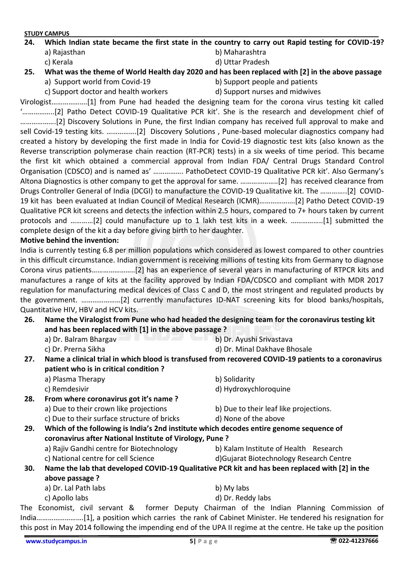# **24. Which Indian state became the first state in the country to carry out Rapid testing for COVID-19?** a) Rajasthan b) Maharashtra

- c) Kerala d) Uttar Pradesh
- 

**25. What was the theme of World Health day 2020 and has been replaced with [2] in the above passage**

- a) Support world from Covid-19 b) Support people and patients
	-
- c) Support doctor and health workers d) Support nurses and midwives

Virologist……………….[1] from Pune had headed the designing team for the corona virus testing kit called '……………..[2] Patho Detect COVID-19 Qualitative PCR kit'. She is the research and development chief of ……………….[2] Discovery Solutions in Pune, the first Indian company has received full approval to make and sell Covid-19 testing kits. …………….[2] Discovery Solutions , Pune-based molecular diagnostics company had created a history by developing the first made in India for Covid-19 diagnostic test kits (also known as the Reverse transcription polymerase chain reaction (RT-PCR) tests) in a six weeks of time period. This became the first kit which obtained a commercial approval from Indian FDA/ Central Drugs Standard Control Organisation (CDSCO) and is named as' ……………. PathoDetect COVID-19 Qualitative PCR kit'. Also Germany's Altona Diagnostics is other company to get the approval for same. ………………..[2] has received clearance from Drugs Controller General of India (DCGI) to manufacture the COVID-19 Qualitative kit. The …………..[2] COVID-19 kit has been evaluated at Indian Council of Medical Research (ICMR)……………….[2] Patho Detect COVID-19 Qualitative PCR kit screens and detects the infection within 2.5 hours, compared to 7+ hours taken by current protocols and …………[2] could manufacture up to 1 lakh test kits in a week. ……………..[1] submitted the complete design of the kit a day before giving birth to her daughter.

## **Motive behind the invention:**

India is currently testing 6.8 per million populations which considered as lowest compared to other countries in this difficult circumstance. Indian government is receiving millions of testing kits from Germany to diagnose Corona virus patients…………………..[2] has an experience of several years in manufacturing of RTPCR kits and manufactures a range of kits at the facility approved by Indian FDA/CDSCO and compliant with MDR 2017 regulation for manufacturing medical devices of Class C and D, the most stringent and regulated products by the government. …………………[2] currently manufactures ID-NAT screening kits for blood banks/hospitals, Quantitative HIV, HBV and HCV kits.

- **26. Name the Viralogist from Pune who had headed the designing team for the coronavirus testing kit and has been replaced with [1] in the above passage ?** 
	- a) Dr. Balram Bhargav b) Dr. Ayushi Srivastava
	- c) Dr. Prerna Sikha d) Dr. Minal Dakhave Bhosale
- **27. Name a clinical trial in which blood is transfused from recovered COVID-19 patients to a coronavirus patient who is in critical condition ?** 
	- a) Plasma Therapy b) Solidarity
	-
- c) Remdesivir and the control of the control of Hydroxychloroquine **28. From where coronavirus got it's name ?** 
	- a) Due to their crown like projections b) Due to their leaf like projections.
	- c) Due to their surface structure of bricks d) None of the above
- 
- **29. Which of the following is India's 2nd institute which decodes entire genome sequence of coronavirus after National Institute of Virology, Pune ?**  a) Rajiv Gandhi centre for Biotechnology b) Kalam Institute of Health Research
	-
- 
- c) National centre for cell Science d)Gujarat Biotechnology Research Centre **30. Name the lab that developed COVID-19 Qualitative PCR kit and has been replaced with [2] in the above passage ?** 
	- a) Dr. Lal Path labs b) My labs
	- c) Apollo labs d) Dr. Reddy labs
- 
- 

The Economist, civil servant & former Deputy Chairman of the Indian Planning Commission of India…………………….[1], a position which carries the rank of Cabinet Minister. He tendered his resignation for this post in May 2014 following the impending end of the UPA II regime at the centre. He take up the position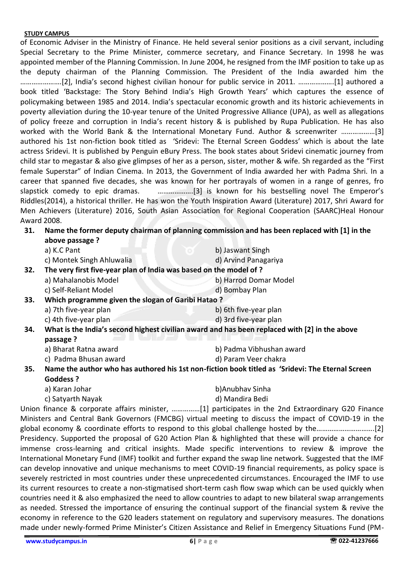of Economic Adviser in the Ministry of Finance. He held several senior positions as a civil servant, including Special Secretary to the Prime Minister, commerce secretary, and Finance Secretary. In 1998 he was appointed member of the Planning Commission. In June 2004, he resigned from the IMF position to take up as the deputy chairman of the Planning Commission. The President of the India awarded him the ………………….[2], India's second highest civilian honour for public service in 2011. ……………….[1] authored a book titled 'Backstage: The Story Behind India's High Growth Years' which captures the essence of policymaking between 1985 and 2014. India's spectacular economic growth and its historic achievements in poverty alleviation during the 10-year tenure of the United Progressive Alliance (UPA), as well as allegations of policy freeze and corruption in India's recent history & is published by Rupa Publication. He has also worked with the World Bank & the International Monetary Fund. Author & screenwriter ………………[3] authored his 1st non-fiction book titled as 'Sridevi: The Eternal Screen Goddess' which is about the late actress Sridevi. It is published by Penguin eBury Press. The book states about Sridevi cinematic journey from child star to megastar & also give glimpses of her as a person, sister, mother & wife. Sh regarded as the "First female Superstar" of Indian Cinema. In 2013, the Government of India awarded her with Padma Shri. In a career that spanned five decades, she was known for her portrayals of women in a range of genres, fro slapstick comedy to epic dramas. ……………….[3] is known for his bestselling novel The Emperor's Riddles(2014), a historical thriller. He has won the Youth Inspiration Award (Literature) 2017, Shri Award for Men Achievers (Literature) 2016, South Asian Association for Regional Cooperation (SAARC)Heal Honour Award 2008.

| Name the former deputy chairman of planning commission and has been replaced with [1] in the<br>31. |                |
|-----------------------------------------------------------------------------------------------------|----------------|
|                                                                                                     | above passage? |

|     | a) K.C Pant                                                       | b) Jaswant Singh                                                                                 |
|-----|-------------------------------------------------------------------|--------------------------------------------------------------------------------------------------|
|     | c) Montek Singh Ahluwalia                                         | d) Arvind Panagariya                                                                             |
| 32. | The very first five-year plan of India was based on the model of? |                                                                                                  |
|     | a) Mahalanobis Model                                              | b) Harrod Domar Model                                                                            |
|     | c) Self-Reliant Model                                             | d) Bombay Plan                                                                                   |
| 33. | Which programme given the slogan of Garibi Hatao?                 |                                                                                                  |
|     | a) 7th five-year plan                                             | b) 6th five-year plan                                                                            |
|     | c) 4th five-year plan                                             | d) 3rd five-year plan                                                                            |
| 34. |                                                                   | What is the India's second highest civilian award and has been replaced with [2] in the above    |
|     | passage ?                                                         |                                                                                                  |
|     | a) Bharat Ratna award                                             | b) Padma Vibhushan award                                                                         |
|     | c) Padma Bhusan award                                             | d) Param Veer chakra                                                                             |
| 35. |                                                                   | Name the author who has authored his 1st non-fiction book titled as 'Sridevi: The Eternal Screen |
|     | <b>Goddess ?</b>                                                  |                                                                                                  |
|     | a) Karan Johar                                                    | b)Anubhav Sinha                                                                                  |
|     | c) Satyarth Nayak                                                 | d) Mandira Bedi                                                                                  |

Union finance & corporate affairs minister, ……………[1] participates in the 2nd Extraordinary G20 Finance Ministers and Central Bank Governors (FMCBG) virtual meeting to discuss the impact of COVID-19 in the global economy & coordinate efforts to respond to this global challenge hosted by the………………………….[2] Presidency. Supported the proposal of G20 Action Plan & highlighted that these will provide a chance for immense cross-learning and critical insights. Made specific interventions to review & improve the International Monetary Fund (IMF) toolkit and further expand the swap line network. Suggested that the IMF can develop innovative and unique mechanisms to meet COVID-19 financial requirements, as policy space is severely restricted in most countries under these unprecedented circumstances. Encouraged the IMF to use its current resources to create a non-stigmatised short-term cash flow swap which can be used quickly when countries need it & also emphasized the need to allow countries to adapt to new bilateral swap arrangements as needed. Stressed the importance of ensuring the continual support of the financial system & revive the economy in reference to the G20 leaders statement on regulatory and supervisory measures. The donations made under newly-formed Prime Minister's Citizen Assistance and Relief in Emergency Situations Fund (PM-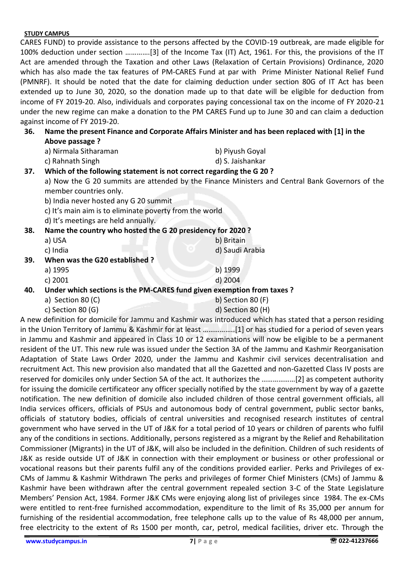CARES FUND) to provide assistance to the persons affected by the COVID-19 outbreak, are made eligible for 100% deduction under section ………….[3] of the Income Tax (IT) Act, 1961. For this, the provisions of the IT Act are amended through the Taxation and other Laws (Relaxation of Certain Provisions) Ordinance, 2020 which has also made the tax features of PM-CARES Fund at par with Prime Minister National Relief Fund (PMNRF). It should be noted that the date for claiming deduction under section 80G of IT Act has been extended up to June 30, 2020, so the donation made up to that date will be eligible for deduction from income of FY 2019-20. Also, individuals and corporates paying concessional tax on the income of FY 2020-21 under the new regime can make a donation to the PM CARES Fund up to June 30 and can claim a deduction against income of FY 2019-20.

## **36. Name the present Finance and Corporate Affairs Minister and has been replaced with [1] in the Above passage ?**

| a) Nirmala Sitharaman | b) Piyush Goyal  |
|-----------------------|------------------|
| c) Rahnath Singh      | d) S. Jaishankar |

### **37. Which of the following statement is not correct regarding the G 20 ?**

a) Now the G 20 summits are attended by the Finance Ministers and Central Bank Governors of the member countries only.

b) India never hosted any G 20 summit

- c) It's main aim is to eliminate poverty from the world
- d) It's meetings are held annually.

| 38.<br>Name the country who hosted the G 20 presidency for 2020?              |                                |                   |
|-------------------------------------------------------------------------------|--------------------------------|-------------------|
|                                                                               | a) USA                         | b) Britain        |
|                                                                               | c) India                       | d) Saudi Arabia   |
| 39.                                                                           | When was the G20 established ? |                   |
|                                                                               | a) 1995                        | b) 1999           |
|                                                                               | c) 2001                        | d) 2004           |
| Under which sections is the PM-CARES fund given exemption from taxes ?<br>40. |                                |                   |
|                                                                               | a) Section 80 $(C)$            | b) Section 80 (F) |
|                                                                               | c) Section 80 $(G)$            | d) Section 80 (H) |

A new definition for domicile for Jammu and Kashmir was introduced which has stated that a person residing in the Union Territory of Jammu & Kashmir for at least ……………..[1] or has studied for a period of seven years in Jammu and Kashmir and appeared in Class 10 or 12 examinations will now be eligible to be a permanent resident of the UT. This new rule was issued under the Section 3A of the Jammu and Kashmir Reorganisation Adaptation of State Laws Order 2020, under the Jammu and Kashmir civil services decentralisation and recruitment Act. This new provision also mandated that all the Gazetted and non-Gazetted Class IV posts are reserved for domiciles only under Section 5A of the act. It authorizes the ………………[2] as competent authority for issuing the domicile certificateor any officer specially notified by the state government by way of a gazette notification. The new definition of domicile also included children of those central government officials, all India services officers, officials of PSUs and autonomous body of central government, public sector banks, officials of statutory bodies, officials of central universities and recognised research institutes of central government who have served in the UT of J&K for a total period of 10 years or children of parents who fulfil any of the conditions in sections. Additionally, persons registered as a migrant by the Relief and Rehabilitation Commissioner (Migrants) in the UT of J&K, will also be included in the definition. Children of such residents of J&K as reside outside UT of J&K in connection with their employment or business or other professional or vocational reasons but their parents fulfil any of the conditions provided earlier. Perks and Privileges of ex-CMs of Jammu & Kashmir Withdrawn The perks and privileges of former Chief Ministers (CMs) of Jammu & Kashmir have been withdrawn after the central government repealed section 3-C of the State Legislature Members' Pension Act, 1984. Former J&K CMs were enjoying along list of privileges since 1984. The ex-CMs were entitled to rent-free furnished accommodation, expenditure to the limit of Rs 35,000 per annum for furnishing of the residential accommodation, free telephone calls up to the value of Rs 48,000 per annum, free electricity to the extent of Rs 1500 per month, car, petrol, medical facilities, driver etc. Through the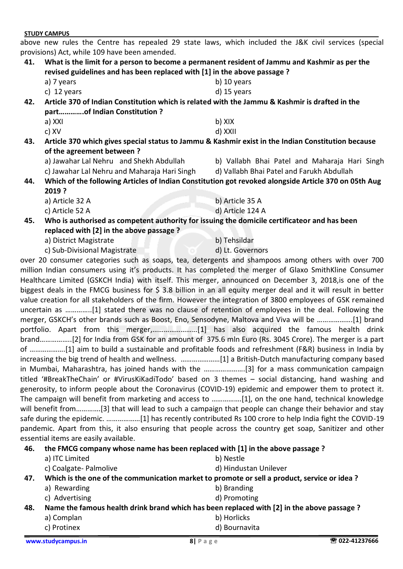**[www.studycampus.in](http://www.studycampus.in/) 8| P a g e 022-41237666**

## **STUDY CAMPUS**

above new rules the Centre has repealed 29 state laws, which included the J&K civil services (special provisions) Act, while 109 have been amended.

- **41. What is the limit for a person to become a permanent resident of Jammu and Kashmir as per the revised guidelines and has been replaced with [1] in the above passage ?** 
	- a) 7 years b) 10 years c) 12 years d) 15 years
		-

**42. Article 370 of Indian Constitution which is related with the Jammu & Kashmir is drafted in the part………….of Indian Constitution ?** 

- a) XXI b) XIX c) XV d) XXII
- **43. Article 370 which gives special status to Jammu & Kashmir exist in the Indian Constitution because of the agreement between ?** 
	-
	- c) Jawahar Lal Nehru and Maharaja Hari Singh d) Vallabh Bhai Patel and Farukh Abdullah
	- a) Jawahar Lal Nehru and Shekh Abdullah b) Vallabh Bhai Patel and Maharaja Hari Singh
		-
- **44. Which of the following Articles of Indian Constitution got revoked alongside Article 370 on 05th Aug 2019 ?** 
	- a) Article 32 A b) Article 35 A
	- c) Article 52 A d) Article 124 A
- **45. Who is authorised as competent authority for issuing the domicile certificateor and has been replaced with [2] in the above passage ?** 
	- a) District Magistrate b) Tehsildar
	- c) Sub-Divisional Magistrate d) Lt. Governors

over 20 consumer categories such as soaps, tea, detergents and shampoos among others with over 700 million Indian consumers using it's products. It has completed the merger of Glaxo SmithKline Consumer Healthcare Limited (GSKCH India) with itself. This merger, announced on December 3, 2018,is one of the biggest deals in the FMCG business for \$ 3.8 billion in an all equity merger deal and it will result in better value creation for all stakeholders of the firm. However the integration of 3800 employees of GSK remained uncertain as …………..[1] stated there was no clause of retention of employees in the deal. Following the merger, GSKCH's other brands such as Boost, Eno, Sensodyne, Maltova and Viva will be ……………….[1] brand portfolio. Apart from this merger,……………………[1] has also acquired the famous health drink brand……………..[2] for India from GSK for an amount of 375.6 mln Euro (Rs. 3045 Crore). The merger is a part of ……………….[1] aim to build a sustainable and profitable foods and refreshment (F&R) business in India by increasing the big trend of health and wellness. …………………[1] a British-Dutch manufacturing company based in Mumbai, Maharashtra, has joined hands with the ………………….[3] for a mass communication campaign titled '#BreakTheChain' or #VirusKiKadiTodo' based on 3 themes – social distancing, hand washing and generosity, to inform people about the Coronavirus (COVID-19) epidemic and empower them to protect it. The campaign will benefit from marketing and access to …………….[1], on the one hand, technical knowledge will benefit from………….[3] that will lead to such a campaign that people can change their behavior and stay safe during the epidemic. ………………[1] has recently contributed Rs 100 crore to help India fight the COVID-19 pandemic. Apart from this, it also ensuring that people across the country get soap, Sanitizer and other essential items are easily available.

**46. the FMCG company whose name has been replaced with [1] in the above passage ?** 

- a) ITC Limited b) Nestle
	- c) Coalgate- Palmolive d) Hindustan Unilever
- **47. Which is the one of the communication market to promote or sell a product, service or idea ?**
	- a) Rewarding b) Branding
	- c) Advertising d) Promoting

**48. Name the famous health drink brand which has been replaced with [2] in the above passage ?**

- a) Complan b) Horlicks
- c) Protinex d) Bournavita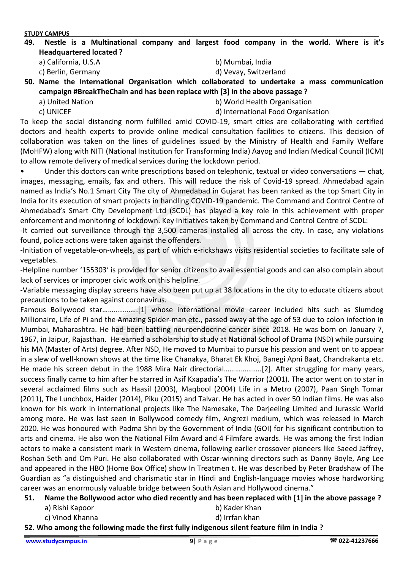**49. Nestle is a Multinational company and largest food company in the world. Where is it's Headquartered located ?** 

a) California, U.S.A b) Mumbai, India

- 
- c) Berlin, Germany d) Vevay, Switzerland

**50. Name the International Organisation which collaborated to undertake a mass communication campaign #BreakTheChain and has been replace with [3] in the above passage ?** 

- 
- a) United Nation b) World Health Organisation
- 
- c) UNICEF d) International Food Organisation

To keep the social distancing norm fulfilled amid COVID-19, smart cities are collaborating with certified doctors and health experts to provide online medical consultation facilities to citizens. This decision of collaboration was taken on the lines of guidelines issued by the Ministry of Health and Family Welfare (MoHFW) along with NITI (National Institution for Transforming India) Aayog and Indian Medical Council (ICM) to allow remote delivery of medical services during the lockdown period.

• Under this doctors can write prescriptions based on telephonic, textual or video conversations — chat, images, messaging, emails, fax and others. This will reduce the risk of Covid-19 spread. Ahmedabad again named as India's No.1 Smart City The city of Ahmedabad in Gujarat has been ranked as the top Smart City in India for its execution of smart projects in handling COVID-19 pandemic. The Command and Control Centre of Ahmedabad's Smart City Development Ltd (SCDL) has played a key role in this achievement with proper enforcement and monitoring of lockdown. Key Initiatives taken by Command and Control Centre of SCDL:

-It carried out surveillance through the 3,500 cameras installed all across the city. In case, any violations found, police actions were taken against the offenders.

-Initiation of vegetable-on-wheels, as part of which e-rickshaws visits residential societies to facilitate sale of vegetables.

-Helpline number '155303' is provided for senior citizens to avail essential goods and can also complain about lack of services or improper civic work on this helpline.

-Variable messaging display screens have also been put up at 38 locations in the city to educate citizens about precautions to be taken against coronavirus.

Famous Bollywood star……………….[1] whose international movie career included hits such as Slumdog Millionaire, Life of Pi and the Amazing Spider-man etc., passed away at the age of 53 due to colon infection in Mumbai, Maharashtra. He had been battling neuroendocrine cancer since 2018. He was born on January 7, 1967, in Jaipur, Rajasthan. He earned a scholarship to study at National School of Drama (NSD) while pursuing his MA (Master of Arts) degree. After NSD, He moved to Mumbai to pursue his passion and went on to appear in a slew of well-known shows at the time like Chanakya, Bharat Ek Khoj, Banegi Apni Baat, Chandrakanta etc. He made his screen debut in the 1988 Mira Nair directorial………………..[2]. After struggling for many years, success finally came to him after he starred in Asif Kxapadia's The Warrior (2001). The actor went on to star in several acclaimed films such as Haasil (2003), Maqbool (2004) Life in a Metro (2007), Paan Singh Tomar (2011), The Lunchbox, Haider (2014), Piku (2015) and Talvar. He has acted in over 50 Indian films. He was also known for his work in international projects like The Namesake, The Darjeeling Limited and Jurassic World among more. He was last seen in Bollywood comedy film, Angrezi medium, which was released in March 2020. He was honoured with Padma Shri by the Government of India (GOI) for his significant contribution to arts and cinema. He also won the National Film Award and 4 Filmfare awards. He was among the first Indian actors to make a consistent mark in Western cinema, following earlier crossover pioneers like Saeed Jaffrey, Roshan Seth and Om Puri. He also collaborated with Oscar-winning directors such as Danny Boyle, Ang Lee and appeared in the HBO (Home Box Office) show In Treatmen t. He was described by Peter Bradshaw of The Guardian as "a distinguished and charismatic star in Hindi and English-language movies whose hardworking career was an enormously valuable bridge between South Asian and Hollywood cinema."

- **51. Name the Bollywood actor who died recently and has been replaced with [1] in the above passage ?**
	- a) Rishi Kapoor b) Kader Khan
	- c) Vinod Khanna d) Irrfan khan
- **52. Who among the following made the first fully indigenous silent feature film in India ?**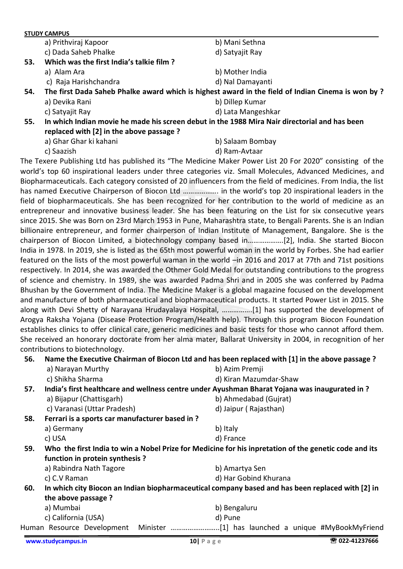|     | a) Prithviraj Kapoor                                                                          | b) Mani Sethna                                                                                    |
|-----|-----------------------------------------------------------------------------------------------|---------------------------------------------------------------------------------------------------|
|     | c) Dada Saheb Phalke                                                                          | d) Satyajit Ray                                                                                   |
| 53. | Which was the first India's talkie film?                                                      |                                                                                                   |
|     | a) Alam Ara                                                                                   | b) Mother India                                                                                   |
|     | c) Raja Harishchandra                                                                         | d) Nal Damayanti                                                                                  |
| 54. |                                                                                               | The first Dada Saheb Phalke award which is highest award in the field of Indian Cinema is won by? |
|     | a) Devika Rani                                                                                | b) Dillep Kumar                                                                                   |
|     | c) Satyajit Ray                                                                               | d) Lata Mangeshkar                                                                                |
| 55. | In which Indian movie he made his screen debut in the 1988 Mira Nair directorial and has been |                                                                                                   |
|     | replaced with [2] in the above passage ?                                                      |                                                                                                   |
|     | a) Ghar Ghar ki kahani                                                                        | b) Salaam Bombay                                                                                  |
|     | c) Saazish                                                                                    | d) Ram-Avtaar                                                                                     |
|     |                                                                                               |                                                                                                   |

The Texere Publishing Ltd has published its "The Medicine Maker Power List 20 For 2020" consisting of the world's top 60 inspirational leaders under three categories viz. Small Molecules, Advanced Medicines, and Biopharmaceuticals. Each category consisted of 20 influencers from the field of medicines. From India, the list has named Executive Chairperson of Biocon Ltd ………………. in the world's top 20 inspirational leaders in the field of biopharmaceuticals. She has been recognized for her contribution to the world of medicine as an entrepreneur and innovative business leader. She has been featuring on the List for six consecutive years since 2015. She was Born on 23rd March 1953 in Pune, Maharashtra state, to Bengali Parents. She is an Indian billionaire entrepreneur, and former chairperson of Indian Institute of Management, Bangalore. She is the chairperson of Biocon Limited, a biotechnology company based in……………….[2], India. She started Biocon India in 1978. In 2019, she is listed as the 65th most powerful woman in the world by Forbes. She had earlier featured on the lists of the most powerful waman in the world –in 2016 and 2017 at 77th and 71st positions respectively. In 2014, she was awarded the Othmer Gold Medal for outstanding contributions to the progress of science and chemistry. In 1989, she was awarded Padma Shri and in 2005 she was conferred by Padma Bhushan by the Government of India. The Medicine Maker is a global magazine focused on the development and manufacture of both pharmaceutical and biopharmaceutical products. It started Power List in 2015. She along with Devi Shetty of Narayana Hrudayalaya Hospital, …………….[1] has supported the development of Arogya Raksha Yojana (Disease Protection Program/Health help). Through this program Biocon Foundation establishes clinics to offer clinical care, generic medicines and basic tests for those who cannot afford them. She received an honorary doctorate from her alma mater, Ballarat University in 2004, in recognition of her contributions to biotechnology.

# **56. Name the Executive Chairman of Biocon Ltd and has been replaced with [1] in the above passage ?** a) Narayan Murthy b) Azim Premji c) Shikha Sharma d) Kiran Mazumdar-Shaw **57. India's first healthcare and wellness centre under Ayushman Bharat Yojana was inaugurated in ?** a) Bijapur (Chattisgarh) b) Ahmedabad (Gujrat) c) Varanasi (Uttar Pradesh) d) Jaipur ( Rajasthan) **58. Ferrari is a sports car manufacturer based in ?**  a) Germany b) Italy c) USA d) France **59. Who the first India to win a Nobel Prize for Medicine for his inpretation of the genetic code and its function in protein synthesis ?**  a) Rabindra Nath Tagore b) Amartya Sen c) C.V Raman d) Har Gobind Khurana **60. In which city Biocon an Indian biopharmaceutical company based and has been replaced with [2] in the above passage ?**  a) Mumbai b) Bengaluru c) California (USA) d) Pune Human Resource Development Minister ……………………..[1] has launched a unique #MyBookMyFriend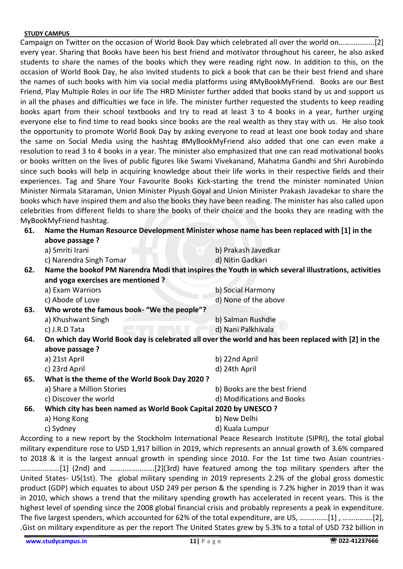Campaign on Twitter on the occasion of World Book Day which celebrated all over the world on……………….[2] every year. Sharing that Books have been his best friend and motivator throughout his career, he also asked students to share the names of the books which they were reading right now. In addition to this, on the occasion of World Book Day, he also invited students to pick a book that can be their best friend and share the names of such books with him via social media platforms using #MyBookMyFriend. Books are our Best Friend, Play Multiple Roles in our life The HRD Minister further added that books stand by us and support us in all the phases and difficulties we face in life. The minister further requested the students to keep reading books apart from their school textbooks and try to read at least 3 to 4 books in a year, further urging everyone else to find time to read books since books are the real wealth as they stay with us. He also took the opportunity to promote World Book Day by asking everyone to read at least one book today and share the same on Social Media using the hashtag #MyBookMyFriend also added that one can even make a resolution to read 3 to 4 books in a year. The minister also emphasized that one can read motivational books or books written on the lives of public figures like Swami Vivekanand, Mahatma Gandhi and Shri Aurobindo since such books will help in acquiring knowledge about their life works in their respective fields and their experiences. Tag and Share Your Favourite Books Kick-starting the trend the minister nominated Union Minister Nirmala Sitaraman, Union Minister Piyush Goyal and Union Minister Prakash Javadekar to share the books which have inspired them and also the books they have been reading. The minister has also called upon celebrities from different fields to share the books of their choice and the books they are reading with the MyBookMyFriend hashtag.

| 61. | Name the Human Resource Development Minister whose name has been replaced with [1] in the |  |
|-----|-------------------------------------------------------------------------------------------|--|
|     | above passage ?                                                                           |  |

|                                  | above passage r |  |
|----------------------------------|-----------------|--|
| $\mathcal{L}$ . Consider the set |                 |  |

| a) Smriti Irani             | b) Prakash Javedkar                 |
|-----------------------------|-------------------------------------|
| a) Napasa dua Cipale Tapean | المستقبل والمستحدث والمستقلة المالي |

c) Narendra Singh Tomar d) Nitin Gadkari **62. Name the bookof PM Narendra Modi that inspires the Youth in which several illustrations, activities** 

- **and yoga exercises are mentioned ?**  a) Exam Warriors b) Social Harmony
- c) Abode of Love d) None of the above **63. Who wrote the famous book- "We the people"?** 
	- a) Khushwant Singh b) Salman Rushdie
		- c) J.R.D Tata d) Nani Palkhivala
- **64. On which day World Book day is celebrated all over the world and has been replaced with [2] in the above passage ?**

|     | a) 21st April                                 | b) 22nd April                |  |  |
|-----|-----------------------------------------------|------------------------------|--|--|
|     | c) 23rd April                                 | d) 24th April                |  |  |
| 65. | What is the theme of the World Book Day 2020? |                              |  |  |
|     | a) Share a Million Stories                    | b) Books are the best friend |  |  |

c) Discover the world d) Modifications and Books

**66. Which city has been named as World Book Capital 2020 by UNESCO ?** 

a) Hong Kong b) New Delhi

c) Sydney d) Kuala Lumpur

According to a new report by the Stockholm International Peace Research Institute (SIPRI), the total global military expenditure rose to USD 1,917 billion in 2019, which represents an annual growth of 3.6% compared to 2018 & it is the largest annual growth in spending since 2010. For the 1st time two Asian countries- …………………[1] (2nd) and ……………………[2](3rd) have featured among the top military spenders after the United States- US(1st). The global military spending in 2019 represents 2.2% of the global gross domestic product (GDP) which equates to about USD 249 per person & the spending is 7.2% higher in 2019 than it was in 2010, which shows a trend that the military spending growth has accelerated in recent years. This is the highest level of spending since the 2008 global financial crisis and probably represents a peak in expenditure. The five largest spenders, which accounted for 62% of the total expenditure, are US, ……………[1] , …………….[2], .Gist on military expenditure as per the report The United States grew by 5.3% to a total of USD 732 billion in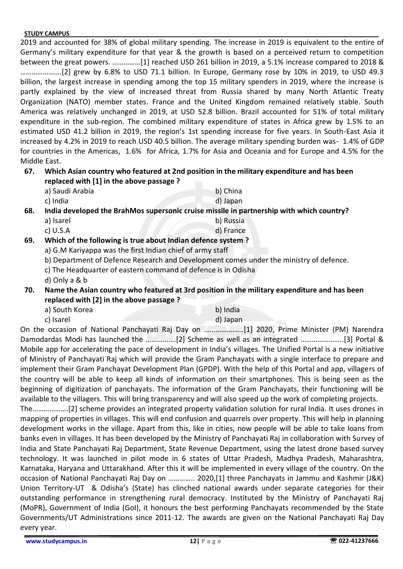2019 and accounted for 38% of global military spending. The increase in 2019 is equivalent to the entire of Germany's military expenditure for that year & the growth is based on a perceived return to competition between the great powers. ……………[1] reached USD 261 billion in 2019, a 5.1% increase compared to 2018 & ………………….[2] grew by 6.8% to USD 71.1 billion. In Europe, Germany rose by 10% in 2019, to USD 49.3 billion, the largest increase in spending among the top 15 military spenders in 2019, where the increase is partly explained by the view of increased threat from Russia shared by many North Atlantic Treaty Organization (NATO) member states. France and the United Kingdom remained relatively stable. South America was relatively unchanged in 2019, at USD 52.8 billion. Brazil accounted for 51% of total military expenditure in the sub-region. The combined military expenditure of states in Africa grew by 1.5% to an estimated USD 41.2 billion in 2019, the region's 1st spending increase for five years. In South-East Asia it increased by 4.2% in 2019 to reach USD 40.5 billion. The average military spending burden was- 1.4% of GDP for countries in the Americas, 1.6% for Africa, 1.7% for Asia and Oceania and for Europe and 4.5% for the Middle East.

# **67. Which Asian country who featured at 2nd position in the military expenditure and has been replaced with [1] in the above passage ?**

a) Saudi Arabia b) China c) India d) Japan

**68. India developed the BrahMos supersonic cruise missile in partnership with which country?** 

- a) Isarel b) Russia
- c) U.S.A d) France
- **69. Which of the following is true about Indian defence system ?** 
	- a) G.M Kariyappa was the first Indian chief of army staff
	- b) Department of Defence Research and Development comes under the ministry of defence.
	- c) The Headquarter of eastern command of defence is in Odisha
	- d) Only a & b
- **70. Name the Asian country who featured at 3rd position in the military expenditure and has been replaced with [2] in the above passage ?** 
	- a) South Korea b) India
	- c) Isarel d) Japan
- 

On the occasion of National Panchayati Raj Day on …………………[1] 2020, Prime Minister (PM) Narendra Damodardas Modi has launched the …………….[2] Scheme as well as an integrated …………………..[3] Portal & Mobile app for accelerating the pace of development in India's villages. The Unified Portal is a new initiative of Ministry of Panchayati Raj which will provide the Gram Panchayats with a single interface to prepare and implement their Gram Panchayat Development Plan (GPDP). With the help of this Portal and app, villagers of the country will be able to keep all kinds of information on their smartphones. This is being seen as the beginning of digitization of panchayats. The information of the Gram Panchayats, their functioning will be available to the villagers. This will bring transparency and will also speed up the work of completing projects.

The……………….[2] scheme provides an integrated property validation solution for rural India. It uses drones in mapping of properties in villages. This will end confusion and quarrels over property. This will help in planning development works in the village. Apart from this, like in cities, now people will be able to take loans from banks even in villages. It has been developed by the Ministry of Panchayati Raj in collaboration with Survey of India and State Panchayati Raj Department, State Revenue Department, using the latest drone based survey technology. It was launched in pilot mode in 6 states of Uttar Pradesh, Madhya Pradesh, Maharashtra, Karnataka, Haryana and Uttarakhand. After this it will be implemented in every village of the country. On the occasion of National Panchayati Raj Day on ………….. 2020,[1] three Panchayats in Jammu and Kashmir (J&K) Union Territory-UT & Odisha's (State) has clinched national awards under separate categories for their outstanding performance in strengthening rural democracy. Instituted by the Ministry of Panchayati Raj (MoPR), Government of India (GoI), it honours the best performing Panchayats recommended by the State Governments/UT Administrations since 2011-12. The awards are given on the National Panchayati Raj Day every year.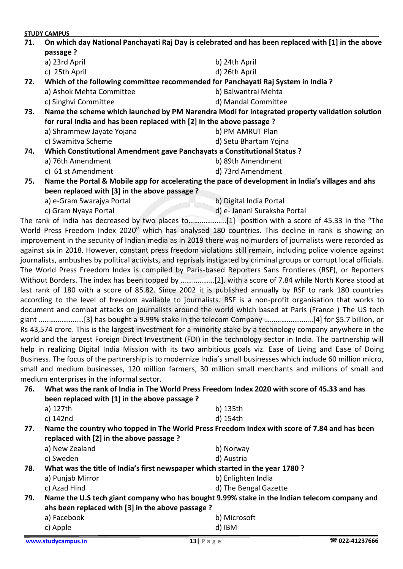**STUDY CAMPUS 71. On which day National Panchayati Raj Day is celebrated and has been replaced with [1] in the above passage ?**  a) 23rd April b) 24th April c) 25th April d) 26th April **72. Which of the following committee recommended for Panchayati Raj System in India ?**  a) Ashok Mehta Committee b) Balwantrai Mehta c) Singhvi Committee d) Mandal Committee **73. Name the scheme which launched by PM Narendra Modi for integrated property validation solution for rural India and has been replaced with [2] in the above passage ?**  a) Shrammew Jayate Yojana b) PM AMRUT Plan c) Swamitva Scheme d) Setu Bhartam Yojna **74. Which Constitutional Amendment gave Panchayats a Constitutional Status ?**  a) 76th Amendment b) 89th Amendment c) 61 st Amendment d) 73rd Amendment **75. Name the Portal & Mobile app for accelerating the pace of development in India's villages and ahs been replaced with [3] in the above passage ?**  a) e-Gram Swarajya Portal b) Digital India Portal c) Gram Nyaya Portal d) e- Janani Suraksha Portal The rank of India has decreased by two places to………………..[1] position with a score of 45.33 in the "The World Press Freedom Index 2020" which has analysed 180 countries. This decline in rank is showing an

improvement in the security of Indian media as in 2019 there was no murders of journalists were recorded as against six in 2018. However, constant press freedom violations still remain, including police violence against journalists, ambushes by political activists, and reprisals instigated by criminal groups or corrupt local officials. The World Press Freedom Index is compiled by Paris-based Reporters Sans Frontieres (RSF), or Reporters Without Borders. The index has been topped by ………………[2]. with a score of 7.84 while North Korea stood at last rank of 180 with a score of 85.82. Since 2002 it is published annually by RSF to rank 180 countries according to the level of freedom available to journalists. RSF is a non-profit organisation that works to document and combat attacks on journalists around the world which based at Paris (France ) The US tech giant ……………………[3] has bought a 9.99% stake in the telecom Company ……………………..[4] for \$5.7 billion, or Rs 43,574 crore. This is the largest investment for a minority stake by a technology company anywhere in the world and the largest Foreign Direct Investment (FDI) in the technology sector in India. The partnership will help in realizing Digital India Mission with its two ambitious goals viz. Ease of Living and Ease of Doing Business. The focus of the partnership is to modernize India's small businesses which include 60 million micro, small and medium businesses, 120 million farmers, 30 million small merchants and millions of small and medium enterprises in the informal sector.

**76. What was the rank of India in The World Press Freedom Index 2020 with score of 45.33 and has been replaced with [1] in the above passage ?**  a) 127th b) 135th

|     | c) 142nd                                                                                                                                 | d) 154th              |  |  |
|-----|------------------------------------------------------------------------------------------------------------------------------------------|-----------------------|--|--|
| 77. | Name the country who topped in The World Press Freedom Index with score of 7.84 and has been<br>replaced with [2] in the above passage ? |                       |  |  |
|     | a) New Zealand                                                                                                                           | b) Norway             |  |  |
|     | c) Sweden                                                                                                                                | d) Austria            |  |  |
| 78. | What was the title of India's first newspaper which started in the year 1780 ?                                                           |                       |  |  |
|     | a) Punjab Mirror                                                                                                                         | b) Enlighten India    |  |  |
|     | c) Azad Hind                                                                                                                             | d) The Bengal Gazette |  |  |
| 79. | Name the U.S tech giant company who has bought 9.99% stake in the Indian telecom company and                                             |                       |  |  |
|     | ahs been replaced with [3] in the above passage ?                                                                                        |                       |  |  |
|     | a) Facebook                                                                                                                              | b) Microsoft          |  |  |
|     | c) Apple                                                                                                                                 | d) IBM                |  |  |
|     |                                                                                                                                          |                       |  |  |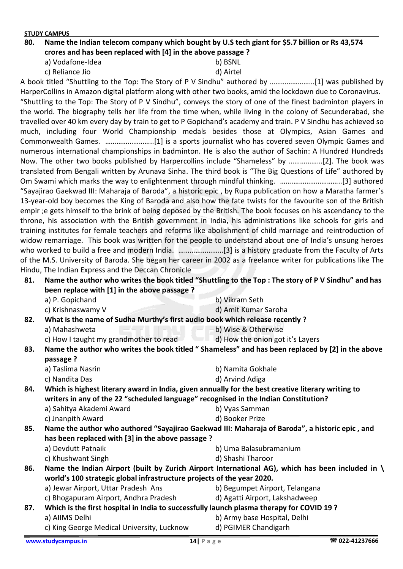## **80. Name the Indian telecom company which bought by U.S tech giant for \$5.7 billion or Rs 43,574 crores and has been replaced with [4] in the above passage ?**

a) Vodafone-Idea b) BSNL

c) Reliance Jio d) Airtel

A book titled "Shuttling to the Top: The Story of P V Sindhu" authored by ……………………[1] was published by HarperCollins in Amazon digital platform along with other two books, amid the lockdown due to Coronavirus. "Shuttling to the Top: The Story of P V Sindhu", conveys the story of one of the finest badminton players in the world. The biography tells her life from the time when, while living in the colony of Secunderabad, she travelled over 40 km every day by train to get to P Gopichand's academy and train. P V Sindhu has achieved so much, including four World Championship medals besides those at Olympics, Asian Games and Commonwealth Games. ……………………..[1] is a sports journalist who has covered seven Olympic Games and numerous international championships in badminton. He is also the author of Sachin: A Hundred Hundreds Now. The other two books published by Harpercollins include "Shameless" by ………………[2]. The book was translated from Bengali written by Arunava Sinha. The third book is "The Big Questions of Life" authored by Om Swami which marks the way to enlightenment through mindful thinking. …….……………………..[3] authored "Sayajirao Gaekwad III: Maharaja of Baroda", a historic epic , by Rupa publication on how a Maratha farmer's 13-year-old boy becomes the King of Baroda and also how the fate twists for the favourite son of the British empir ;e gets himself to the brink of being deposed by the British. The book focuses on his ascendancy to the throne, his association with the British government in India, his administrations like schools for girls and training institutes for female teachers and reforms like abolishment of child marriage and reintroduction of widow remarriage. This book was written for the people to understand about one of India's unsung heroes who worked to build a free and modern India. ……………………[3] is a history graduate from the Faculty of Arts of the M.S. University of Baroda. She began her career in 2002 as a freelance writer for publications like The Hindu, The Indian Express and the Deccan Chronicle

**81. Name the author who writes the book titled "Shuttling to the Top : The story of P V Sindhu" and has been replace with [1] in the above passage ?** 

| a) P. Gopichand   | b) Vikram Seth       |
|-------------------|----------------------|
| c) Krishnaswamy V | d) Amit Kumar Saroha |

**82. What is the name of Sudha Murthy's first audio book which release recently ?** 

a) Mahashweta b) Wise & Otherwise c) How I taught my grandmother to read  $\Box$  d) How the onion got it's Layers

**83. Name the author who writes the book titled " Shameless" and has been replaced by [2] in the above passage ?** 

- a) Taslima Nasrin b) Namita Gokhale
- c) Nandita Das d) Arvind Adiga
- **84. Which is highest literary award in India, given annually for the best creative literary writing to writers in any of the 22 "scheduled language" recognised in the Indian Constitution?**
	- a) Sahitya Akademi Award b) Vyas Samman c) Jnanpith Award d) Booker Prize

**85. Name the author who authored "Sayajirao Gaekwad III: Maharaja of Baroda", a historic epic , and has been replaced with [3] in the above passage ?**  a) Devdutt Patnaik b) Uma Balasubramanium

c) Khushwant Singh d) Shashi Tharoor

**86. Name the Indian Airport (built by Zurich Airport International AG), which has been included in \ world's 100 strategic global infrastructure projects of the year 2020.**

- a) Jewar Airport, Uttar Pradesh Ans b) Begumpet Airport, Telangana
	-
- c) Bhogapuram Airport, Andhra Pradesh d) Agatti Airport, Lakshadweep
- 
- **87. Which is the first hospital in India to successfully launch plasma therapy for COVID 19 ?**  a) AIIMS Delhi b) Army base Hospital, Delhi
	- c) King George Medical University, Lucknow d) PGIMER Chandigarh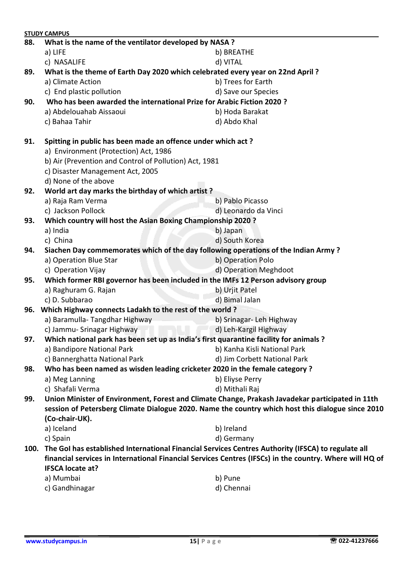|      | <b>STUDY CAMPUS</b>                                                                                                                |                                                                                                  |  |  |  |
|------|------------------------------------------------------------------------------------------------------------------------------------|--------------------------------------------------------------------------------------------------|--|--|--|
| 88.  | What is the name of the ventilator developed by NASA ?                                                                             |                                                                                                  |  |  |  |
|      | a) LIFE                                                                                                                            | b) BREATHE                                                                                       |  |  |  |
|      | c) NASALIFE                                                                                                                        | d) VITAL                                                                                         |  |  |  |
| 89.  | What is the theme of Earth Day 2020 which celebrated every year on 22nd April?                                                     |                                                                                                  |  |  |  |
|      | a) Climate Action                                                                                                                  | b) Trees for Earth                                                                               |  |  |  |
|      | c) End plastic pollution                                                                                                           | d) Save our Species                                                                              |  |  |  |
| 90.  | Who has been awarded the international Prize for Arabic Fiction 2020 ?                                                             |                                                                                                  |  |  |  |
|      | a) Abdelouahab Aissaoui                                                                                                            | b) Hoda Barakat                                                                                  |  |  |  |
|      | c) Bahaa Tahir                                                                                                                     | d) Abdo Khal                                                                                     |  |  |  |
| 91.  | Spitting in public has been made an offence under which act?                                                                       |                                                                                                  |  |  |  |
|      | a) Environment (Protection) Act, 1986                                                                                              |                                                                                                  |  |  |  |
|      | b) Air (Prevention and Control of Pollution) Act, 1981                                                                             |                                                                                                  |  |  |  |
|      | c) Disaster Management Act, 2005                                                                                                   |                                                                                                  |  |  |  |
|      | d) None of the above                                                                                                               |                                                                                                  |  |  |  |
| 92.  | World art day marks the birthday of which artist?                                                                                  |                                                                                                  |  |  |  |
|      | a) Raja Ram Verma                                                                                                                  | b) Pablo Picasso                                                                                 |  |  |  |
|      | c) Jackson Pollock                                                                                                                 | d) Leonardo da Vinci                                                                             |  |  |  |
| 93.  | Which country will host the Asian Boxing Championship 2020 ?                                                                       |                                                                                                  |  |  |  |
|      | a) India                                                                                                                           | b) Japan                                                                                         |  |  |  |
|      | c) China                                                                                                                           | d) South Korea                                                                                   |  |  |  |
| 94.  | Siachen Day commemorates which of the day following operations of the Indian Army?                                                 |                                                                                                  |  |  |  |
|      | a) Operation Blue Star                                                                                                             | b) Operation Polo                                                                                |  |  |  |
|      | c) Operation Vijay                                                                                                                 | d) Operation Meghdoot                                                                            |  |  |  |
| 95.  | Which former RBI governor has been included in the IMFs 12 Person advisory group                                                   |                                                                                                  |  |  |  |
|      | a) Raghuram G. Rajan                                                                                                               | b) Urjit Patel                                                                                   |  |  |  |
|      | c) D. Subbarao                                                                                                                     | d) Bimal Jalan                                                                                   |  |  |  |
|      | 96. Which Highway connects Ladakh to the rest of the world?                                                                        |                                                                                                  |  |  |  |
|      | a) Baramulla-Tangdhar Highway                                                                                                      | b) Srinagar- Leh Highway                                                                         |  |  |  |
|      | c) Jammu-Srinagar Highway and The Company                                                                                          | d) Leh-Kargil Highway                                                                            |  |  |  |
| 97.  | Which national park has been set up as India's first quarantine facility for animals ?                                             |                                                                                                  |  |  |  |
|      | a) Bandipore National Park                                                                                                         | b) Kanha Kisli National Park                                                                     |  |  |  |
|      | c) Bannerghatta National Park                                                                                                      | d) Jim Corbett National Park                                                                     |  |  |  |
| 98.  | Who has been named as wisden leading cricketer 2020 in the female category ?                                                       |                                                                                                  |  |  |  |
|      | a) Meg Lanning                                                                                                                     | b) Eliyse Perry                                                                                  |  |  |  |
|      | c) Shafali Verma                                                                                                                   | d) Mithali Raj                                                                                   |  |  |  |
| 99.  |                                                                                                                                    | Union Minister of Environment, Forest and Climate Change, Prakash Javadekar participated in 11th |  |  |  |
|      | session of Petersberg Climate Dialogue 2020. Name the country which host this dialogue since 2010                                  |                                                                                                  |  |  |  |
|      | (Co-chair-UK).                                                                                                                     |                                                                                                  |  |  |  |
|      | a) Iceland                                                                                                                         | b) Ireland                                                                                       |  |  |  |
|      | c) Spain                                                                                                                           | d) Germany                                                                                       |  |  |  |
| 100. | The GoI has established International Financial Services Centres Authority (IFSCA) to regulate all                                 |                                                                                                  |  |  |  |
|      | financial services in International Financial Services Centres (IFSCs) in the country. Where will HQ of<br><b>IFSCA locate at?</b> |                                                                                                  |  |  |  |
|      | a) Mumbai                                                                                                                          | b) Pune                                                                                          |  |  |  |
|      | c) Gandhinagar                                                                                                                     | d) Chennai                                                                                       |  |  |  |
|      |                                                                                                                                    |                                                                                                  |  |  |  |